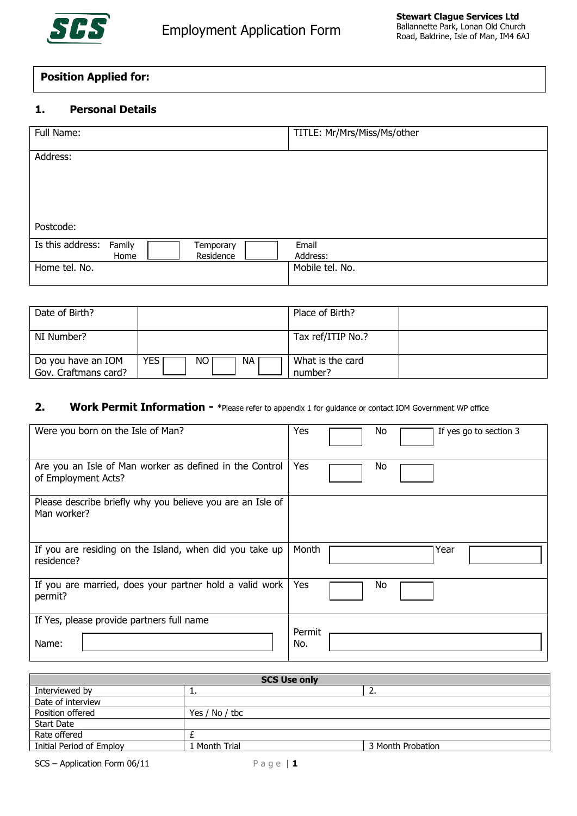

# **Position Applied for:**

## **1. Personal Details**

| Full Name:       |        |           | TITLE: Mr/Mrs/Miss/Ms/other |
|------------------|--------|-----------|-----------------------------|
|                  |        |           |                             |
|                  |        |           |                             |
| Address:         |        |           |                             |
|                  |        |           |                             |
|                  |        |           |                             |
|                  |        |           |                             |
|                  |        |           |                             |
|                  |        |           |                             |
|                  |        |           |                             |
|                  |        |           |                             |
|                  |        |           |                             |
| Postcode:        |        |           |                             |
|                  |        |           |                             |
| Is this address: | Family | Temporary | Email                       |
|                  |        |           |                             |
|                  | Home   | Residence | Address:                    |
| Home tel. No.    |        |           | Mobile tel. No.             |
|                  |        |           |                             |
|                  |        |           |                             |

| Date of Birth?                             |                  | Place of Birth?             |  |
|--------------------------------------------|------------------|-----------------------------|--|
| NI Number?                                 |                  | Tax ref/ITIP No.?           |  |
| Do you have an IOM<br>Gov. Craftmans card? | YES.<br>NA<br>NO | What is the card<br>number? |  |

### **2. Work Permit Information -** \*Please refer to appendix 1 for guidance or contact IOM Government WP office

| Were you born on the Isle of Man?                                         | Yes<br>No<br>If yes go to section 3 |
|---------------------------------------------------------------------------|-------------------------------------|
| Are you an Isle of Man worker as defined in the Control                   | Yes                                 |
| of Employment Acts?                                                       | No                                  |
| Please describe briefly why you believe you are an Isle of<br>Man worker? |                                     |
| If you are residing on the Island, when did you take up                   | Month                               |
| residence?                                                                | Year                                |
| If you are married, does your partner hold a valid work                   | Yes                                 |
| permit?                                                                   | No                                  |
| If Yes, please provide partners full name                                 | Permit                              |
| Name:                                                                     | No.                                 |

| <b>SCS Use only</b>      |                |                   |  |  |
|--------------------------|----------------|-------------------|--|--|
| Interviewed by           | . .            |                   |  |  |
| Date of interview        |                |                   |  |  |
| Position offered         | Yes / No / tbc |                   |  |  |
| <b>Start Date</b>        |                |                   |  |  |
| Rate offered             |                |                   |  |  |
| Initial Period of Employ | 1 Month Trial  | 3 Month Probation |  |  |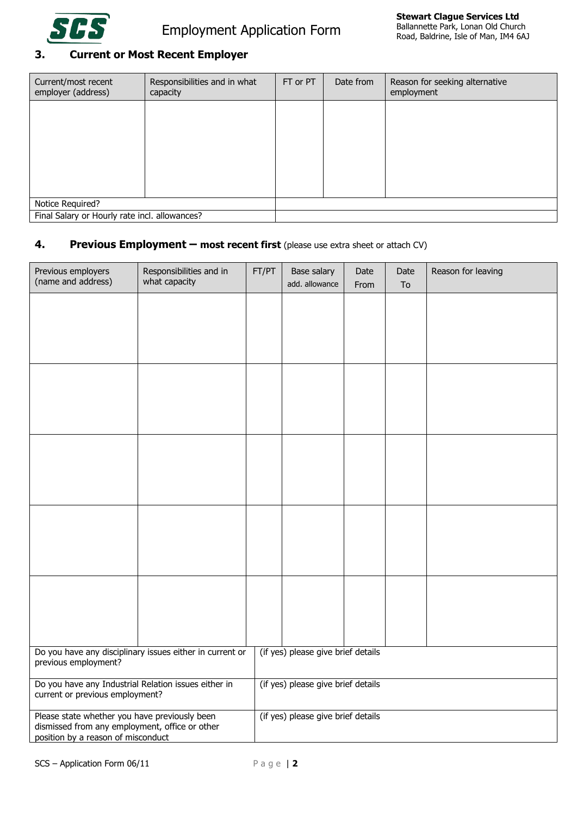

# **3. Current or Most Recent Employer**

| Current/most recent<br>employer (address)     | Responsibilities and in what<br>capacity | FT or PT | Date from | Reason for seeking alternative<br>employment |
|-----------------------------------------------|------------------------------------------|----------|-----------|----------------------------------------------|
|                                               |                                          |          |           |                                              |
|                                               |                                          |          |           |                                              |
|                                               |                                          |          |           |                                              |
|                                               |                                          |          |           |                                              |
|                                               |                                          |          |           |                                              |
| Notice Required?                              |                                          |          |           |                                              |
| Final Salary or Hourly rate incl. allowances? |                                          |          |           |                                              |

# **4. Previous Employment – most recent first** (please use extra sheet or attach CV)

| Previous employers<br>(name and address)                                                                                              | Responsibilities and in<br>what capacity | FT/PT | Base salary<br>add. allowance      | Date<br>From | Date<br>To | Reason for leaving |
|---------------------------------------------------------------------------------------------------------------------------------------|------------------------------------------|-------|------------------------------------|--------------|------------|--------------------|
|                                                                                                                                       |                                          |       |                                    |              |            |                    |
|                                                                                                                                       |                                          |       |                                    |              |            |                    |
|                                                                                                                                       |                                          |       |                                    |              |            |                    |
|                                                                                                                                       |                                          |       |                                    |              |            |                    |
|                                                                                                                                       |                                          |       |                                    |              |            |                    |
|                                                                                                                                       |                                          |       |                                    |              |            |                    |
|                                                                                                                                       |                                          |       |                                    |              |            |                    |
|                                                                                                                                       |                                          |       |                                    |              |            |                    |
|                                                                                                                                       |                                          |       |                                    |              |            |                    |
|                                                                                                                                       |                                          |       |                                    |              |            |                    |
|                                                                                                                                       |                                          |       |                                    |              |            |                    |
|                                                                                                                                       |                                          |       |                                    |              |            |                    |
|                                                                                                                                       |                                          |       |                                    |              |            |                    |
|                                                                                                                                       |                                          |       |                                    |              |            |                    |
|                                                                                                                                       |                                          |       |                                    |              |            |                    |
| Do you have any disciplinary issues either in current or<br>previous employment?                                                      |                                          |       | (if yes) please give brief details |              |            |                    |
| Do you have any Industrial Relation issues either in<br>current or previous employment?                                               |                                          |       | (if yes) please give brief details |              |            |                    |
| Please state whether you have previously been<br>dismissed from any employment, office or other<br>position by a reason of misconduct |                                          |       | (if yes) please give brief details |              |            |                    |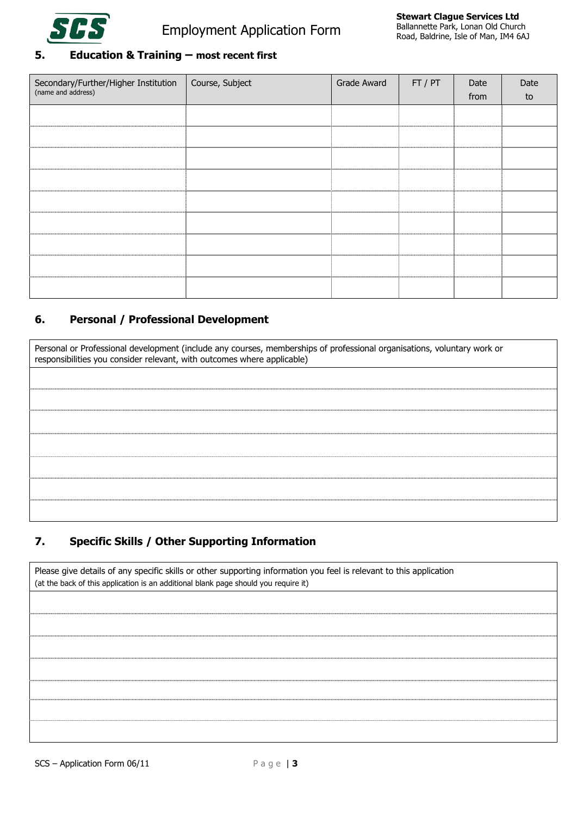

### **5. Education & Training – most recent first**

| Secondary/Further/Higher Institution Course, Subject (name and address) | Grade Award | $\overline{FT/PT}$ | Date<br>from | Date<br>to |
|-------------------------------------------------------------------------|-------------|--------------------|--------------|------------|
|                                                                         |             |                    |              |            |
|                                                                         |             |                    |              |            |
|                                                                         |             |                    |              |            |
|                                                                         |             |                    |              |            |
|                                                                         |             |                    |              |            |
|                                                                         |             |                    |              |            |
|                                                                         |             |                    |              |            |
|                                                                         |             |                    |              |            |
|                                                                         |             |                    |              |            |

# **6. Personal / Professional Development**

Personal or Professional development (include any courses, memberships of professional organisations, voluntary work or responsibilities you consider relevant, with outcomes where applicable)

# **7. Specific Skills / Other Supporting Information**

Please give details of any specific skills or other supporting information you feel is relevant to this application (at the back of this application is an additional blank page should you require it)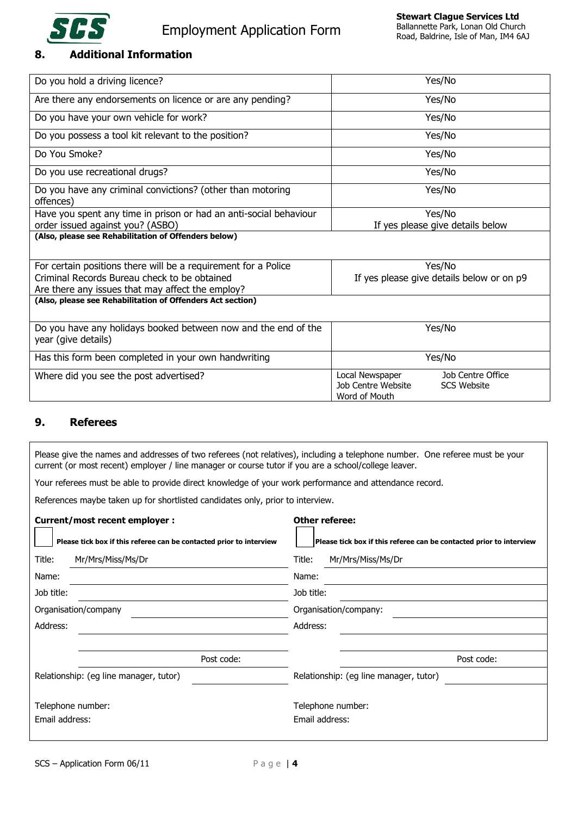

# **8. Additional Information**

| Do you hold a driving licence?                                                        | Yes/No                                                                                            |
|---------------------------------------------------------------------------------------|---------------------------------------------------------------------------------------------------|
| Are there any endorsements on licence or are any pending?                             | Yes/No                                                                                            |
| Do you have your own vehicle for work?                                                | Yes/No                                                                                            |
| Do you possess a tool kit relevant to the position?                                   | Yes/No                                                                                            |
| Do You Smoke?                                                                         | Yes/No                                                                                            |
| Do you use recreational drugs?                                                        | Yes/No                                                                                            |
| Do you have any criminal convictions? (other than motoring<br>offences)               | Yes/No                                                                                            |
| Have you spent any time in prison or had an anti-social behaviour                     | Yes/No                                                                                            |
| order issued against you? (ASBO)                                                      | If yes please give details below                                                                  |
| (Also, please see Rehabilitation of Offenders below)                                  |                                                                                                   |
| For certain positions there will be a requirement for a Police                        | Yes/No                                                                                            |
| Criminal Records Bureau check to be obtained                                          | If yes please give details below or on p9                                                         |
| Are there any issues that may affect the employ?                                      |                                                                                                   |
| (Also, please see Rehabilitation of Offenders Act section)                            |                                                                                                   |
| Do you have any holidays booked between now and the end of the<br>year (give details) | Yes/No                                                                                            |
| Has this form been completed in your own handwriting                                  | Yes/No                                                                                            |
| Where did you see the post advertised?                                                | Job Centre Office<br>Local Newspaper<br>Job Centre Website<br><b>SCS Website</b><br>Word of Mouth |

#### **9. Referees**

Please give the names and addresses of two referees (not relatives), including a telephone number. One referee must be your current (or most recent) employer / line manager or course tutor if you are a school/college leaver.

Your referees must be able to provide direct knowledge of your work performance and attendance record.

References maybe taken up for shortlisted candidates only, prior to interview.

| <b>Current/most recent employer:</b>   |                                                                     | Other referee:                                                      |
|----------------------------------------|---------------------------------------------------------------------|---------------------------------------------------------------------|
|                                        | Please tick box if this referee can be contacted prior to interview | Please tick box if this referee can be contacted prior to interview |
| Title:                                 | Mr/Mrs/Miss/Ms/Dr                                                   | Title:<br>Mr/Mrs/Miss/Ms/Dr                                         |
| Name:                                  |                                                                     | Name:                                                               |
| Job title:                             |                                                                     | Job title:                                                          |
|                                        | Organisation/company                                                | Organisation/company:                                               |
| Address:                               |                                                                     | Address:                                                            |
|                                        |                                                                     |                                                                     |
|                                        | Post code:                                                          | Post code:                                                          |
| Relationship: (eg line manager, tutor) |                                                                     | Relationship: (eg line manager, tutor)                              |
| Telephone number:<br>Email address:    |                                                                     | Telephone number:<br>Email address:                                 |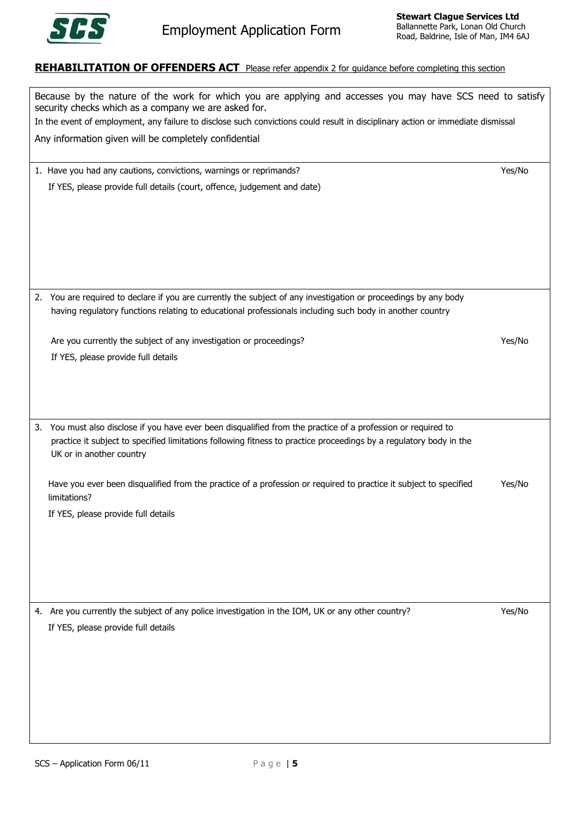

### **REHABILITATION OF OFFENDERS ACT** Please refer appendix 2 for quidance before completing this section

| Because by the nature of the work for which you are applying and accesses you may have SCS need to satisfy<br>security checks which as a company we are asked for. |        |  |  |
|--------------------------------------------------------------------------------------------------------------------------------------------------------------------|--------|--|--|
| In the event of employment, any failure to disclose such convictions could result in disciplinary action or immediate dismissal                                    |        |  |  |
| Any information given will be completely confidential                                                                                                              |        |  |  |
| 1. Have you had any cautions, convictions, warnings or reprimands?                                                                                                 | Yes/No |  |  |
| If YES, please provide full details (court, offence, judgement and date)                                                                                           |        |  |  |
|                                                                                                                                                                    |        |  |  |
|                                                                                                                                                                    |        |  |  |
|                                                                                                                                                                    |        |  |  |
|                                                                                                                                                                    |        |  |  |
|                                                                                                                                                                    |        |  |  |
|                                                                                                                                                                    |        |  |  |
| 2. You are required to declare if you are currently the subject of any investigation or proceedings by any body                                                    |        |  |  |
| having regulatory functions relating to educational professionals including such body in another country                                                           |        |  |  |
|                                                                                                                                                                    |        |  |  |
| Are you currently the subject of any investigation or proceedings?                                                                                                 | Yes/No |  |  |
| If YES, please provide full details                                                                                                                                |        |  |  |
|                                                                                                                                                                    |        |  |  |
|                                                                                                                                                                    |        |  |  |
|                                                                                                                                                                    |        |  |  |
| 3. You must also disclose if you have ever been disqualified from the practice of a profession or required to                                                      |        |  |  |
| practice it subject to specified limitations following fitness to practice proceedings by a regulatory body in the                                                 |        |  |  |
| UK or in another country                                                                                                                                           |        |  |  |
|                                                                                                                                                                    |        |  |  |
| Have you ever been disqualified from the practice of a profession or required to practice it subject to specified<br>limitations?                                  | Yes/No |  |  |
|                                                                                                                                                                    |        |  |  |
| If YES, please provide full details                                                                                                                                |        |  |  |
|                                                                                                                                                                    |        |  |  |
|                                                                                                                                                                    |        |  |  |
|                                                                                                                                                                    |        |  |  |
|                                                                                                                                                                    |        |  |  |
|                                                                                                                                                                    |        |  |  |
| 4. Are you currently the subject of any police investigation in the IOM, UK or any other country?                                                                  | Yes/No |  |  |
| If YES, please provide full details                                                                                                                                |        |  |  |
|                                                                                                                                                                    |        |  |  |
|                                                                                                                                                                    |        |  |  |
|                                                                                                                                                                    |        |  |  |
|                                                                                                                                                                    |        |  |  |
|                                                                                                                                                                    |        |  |  |
|                                                                                                                                                                    |        |  |  |
|                                                                                                                                                                    |        |  |  |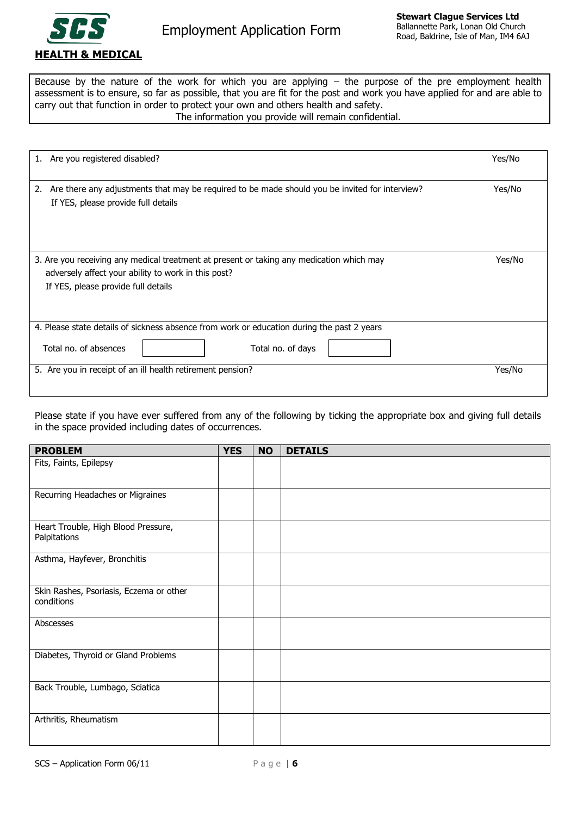

Because by the nature of the work for which you are applying – the purpose of the pre employment health assessment is to ensure, so far as possible, that you are fit for the post and work you have applied for and are able to carry out that function in order to protect your own and others health and safety.

#### The information you provide will remain confidential.

| 1. Are you registered disabled?                                                                                                                                                        | Yes/No |
|----------------------------------------------------------------------------------------------------------------------------------------------------------------------------------------|--------|
| Are there any adjustments that may be required to be made should you be invited for interview?<br>2.<br>If YES, please provide full details                                            | Yes/No |
| 3. Are you receiving any medical treatment at present or taking any medication which may<br>adversely affect your ability to work in this post?<br>If YES, please provide full details | Yes/No |
| 4. Please state details of sickness absence from work or education during the past 2 years                                                                                             |        |
| Total no. of absences<br>Total no. of days                                                                                                                                             |        |
| 5. Are you in receipt of an ill health retirement pension?                                                                                                                             | Yes/No |

Please state if you have ever suffered from any of the following by ticking the appropriate box and giving full details in the space provided including dates of occurrences.

| <b>PROBLEM</b>                                        | <b>YES</b> | <b>NO</b> | <b>DETAILS</b> |
|-------------------------------------------------------|------------|-----------|----------------|
| Fits, Faints, Epilepsy                                |            |           |                |
| Recurring Headaches or Migraines                      |            |           |                |
| Heart Trouble, High Blood Pressure,<br>Palpitations   |            |           |                |
| Asthma, Hayfever, Bronchitis                          |            |           |                |
| Skin Rashes, Psoriasis, Eczema or other<br>conditions |            |           |                |
| Abscesses                                             |            |           |                |
| Diabetes, Thyroid or Gland Problems                   |            |           |                |
| Back Trouble, Lumbago, Sciatica                       |            |           |                |
| Arthritis, Rheumatism                                 |            |           |                |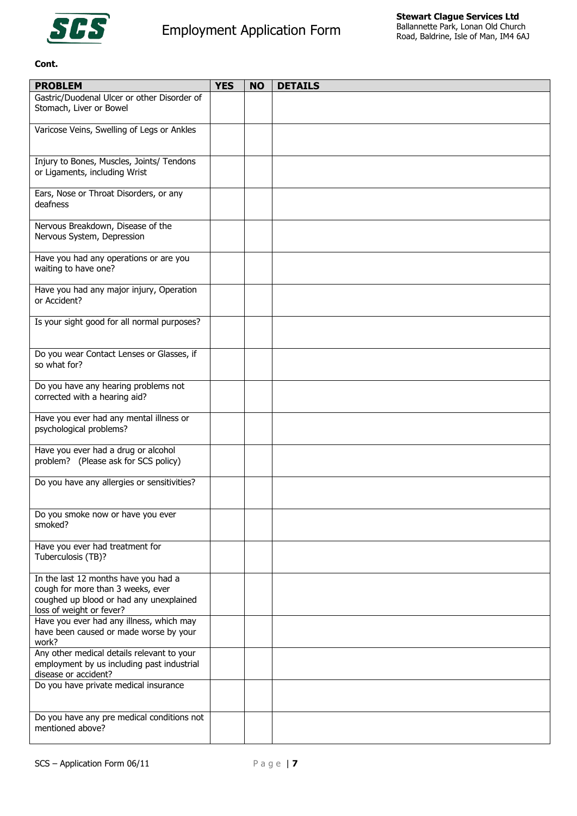

#### **Cont.**

| <b>PROBLEM</b>                                                                                                                                   | <b>YES</b> | <b>NO</b> | <b>DETAILS</b> |
|--------------------------------------------------------------------------------------------------------------------------------------------------|------------|-----------|----------------|
| Gastric/Duodenal Ulcer or other Disorder of<br>Stomach, Liver or Bowel                                                                           |            |           |                |
| Varicose Veins, Swelling of Legs or Ankles                                                                                                       |            |           |                |
| Injury to Bones, Muscles, Joints/ Tendons<br>or Ligaments, including Wrist                                                                       |            |           |                |
| Ears, Nose or Throat Disorders, or any<br>deafness                                                                                               |            |           |                |
| Nervous Breakdown, Disease of the<br>Nervous System, Depression                                                                                  |            |           |                |
| Have you had any operations or are you<br>waiting to have one?                                                                                   |            |           |                |
| Have you had any major injury, Operation<br>or Accident?                                                                                         |            |           |                |
| Is your sight good for all normal purposes?                                                                                                      |            |           |                |
| Do you wear Contact Lenses or Glasses, if<br>so what for?                                                                                        |            |           |                |
| Do you have any hearing problems not<br>corrected with a hearing aid?                                                                            |            |           |                |
| Have you ever had any mental illness or<br>psychological problems?                                                                               |            |           |                |
| Have you ever had a drug or alcohol<br>problem? (Please ask for SCS policy)                                                                      |            |           |                |
| Do you have any allergies or sensitivities?                                                                                                      |            |           |                |
| Do you smoke now or have you ever<br>smoked?                                                                                                     |            |           |                |
| Have you ever had treatment for<br>Tuberculosis (TB)?                                                                                            |            |           |                |
| In the last 12 months have you had a<br>cough for more than 3 weeks, ever<br>coughed up blood or had any unexplained<br>loss of weight or fever? |            |           |                |
| Have you ever had any illness, which may<br>have been caused or made worse by your<br>work?                                                      |            |           |                |
| Any other medical details relevant to your<br>employment by us including past industrial<br>disease or accident?                                 |            |           |                |
| Do you have private medical insurance                                                                                                            |            |           |                |
| Do you have any pre medical conditions not<br>mentioned above?                                                                                   |            |           |                |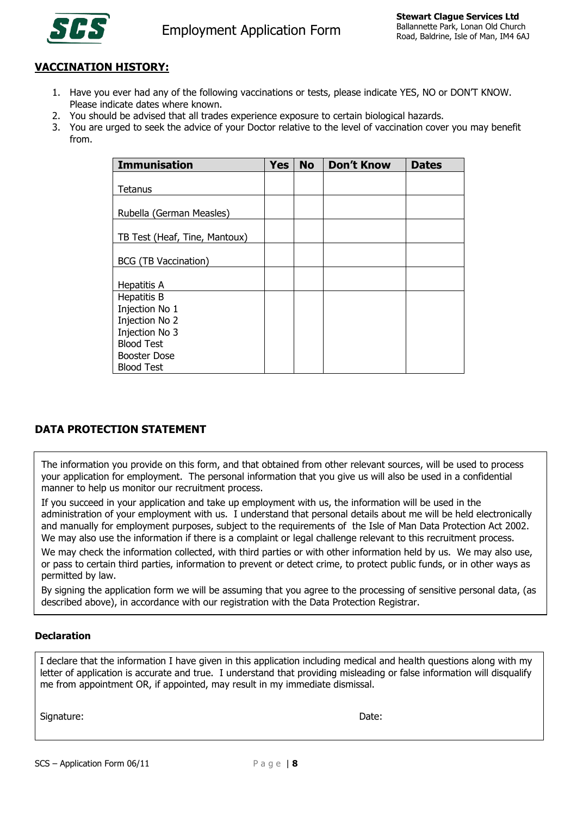

# **VACCINATION HISTORY:**

- 1. Have you ever had any of the following vaccinations or tests, please indicate YES, NO or DON'T KNOW. Please indicate dates where known.
- 2. You should be advised that all trades experience exposure to certain biological hazards.
- 3. You are urged to seek the advice of your Doctor relative to the level of vaccination cover you may benefit from.

| <b>Immunisation</b>           | <b>Yes</b> | <b>No</b> | <b>Don't Know</b> | <b>Dates</b> |
|-------------------------------|------------|-----------|-------------------|--------------|
|                               |            |           |                   |              |
| Tetanus                       |            |           |                   |              |
| Rubella (German Measles)      |            |           |                   |              |
| TB Test (Heaf, Tine, Mantoux) |            |           |                   |              |
| BCG (TB Vaccination)          |            |           |                   |              |
| Hepatitis A                   |            |           |                   |              |
| Hepatitis B                   |            |           |                   |              |
| Injection No 1                |            |           |                   |              |
| Injection No 2                |            |           |                   |              |
| Injection No 3                |            |           |                   |              |
| <b>Blood Test</b>             |            |           |                   |              |
| Booster Dose                  |            |           |                   |              |
| <b>Blood Test</b>             |            |           |                   |              |

# **DATA PROTECTION STATEMENT**

The information you provide on this form, and that obtained from other relevant sources, will be used to process your application for employment. The personal information that you give us will also be used in a confidential manner to help us monitor our recruitment process.

If you succeed in your application and take up employment with us, the information will be used in the administration of your employment with us. I understand that personal details about me will be held electronically and manually for employment purposes, subject to the requirements of the Isle of Man Data Protection Act 2002. We may also use the information if there is a complaint or legal challenge relevant to this recruitment process.

We may check the information collected, with third parties or with other information held by us. We may also use, or pass to certain third parties, information to prevent or detect crime, to protect public funds, or in other ways as permitted by law.

By signing the application form we will be assuming that you agree to the processing of sensitive personal data, (as described above), in accordance with our registration with the Data Protection Registrar.

#### **Declaration**

I declare that the information I have given in this application including medical and health questions along with my letter of application is accurate and true. I understand that providing misleading or false information will disqualify me from appointment OR, if appointed, may result in my immediate dismissal.

Signature: Date: Date: Date: Date: Date: Date: Date: Date: Date: Date: Date: Date: Date: Date: Date: Date: Date: Date: Date: Date: Date: Date: Date: Date: Date: Date: Date: Date: Date: Date: Date: Date: Date: Date: Date: D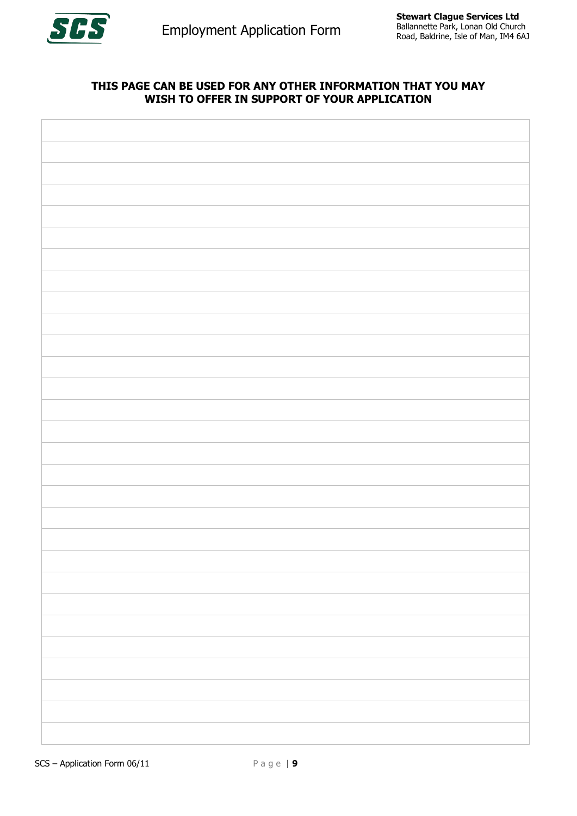

# **THIS PAGE CAN BE USED FOR ANY OTHER INFORMATION THAT YOU MAY WISH TO OFFER IN SUPPORT OF YOUR APPLICATION**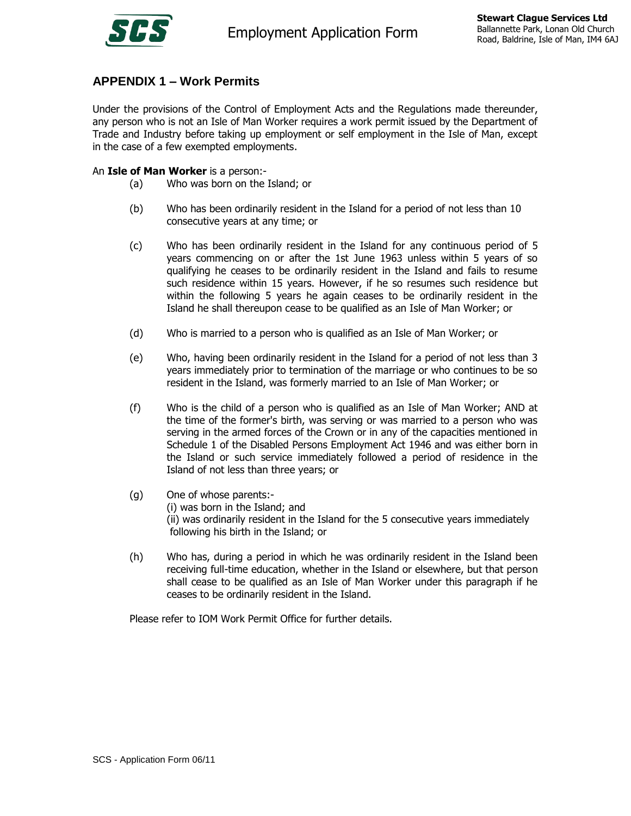

# **APPENDIX 1 – Work Permits**

Under the provisions of the Control of Employment Acts and the Regulations made thereunder, any person who is not an Isle of Man Worker requires a work permit issued by the Department of Trade and Industry before taking up employment or self employment in the Isle of Man, except in the case of a few exempted employments.

An **Isle of Man Worker** is a person:-

- (a) Who was born on the Island; or
- (b) Who has been ordinarily resident in the Island for a period of not less than 10 consecutive years at any time; or
- (c) Who has been ordinarily resident in the Island for any continuous period of 5 years commencing on or after the 1st June 1963 unless within 5 years of so qualifying he ceases to be ordinarily resident in the Island and fails to resume such residence within 15 years. However, if he so resumes such residence but within the following 5 years he again ceases to be ordinarily resident in the Island he shall thereupon cease to be qualified as an Isle of Man Worker; or
- (d) Who is married to a person who is qualified as an Isle of Man Worker; or
- (e) Who, having been ordinarily resident in the Island for a period of not less than 3 years immediately prior to termination of the marriage or who continues to be so resident in the Island, was formerly married to an Isle of Man Worker; or
- (f) Who is the child of a person who is qualified as an Isle of Man Worker; AND at the time of the former's birth, was serving or was married to a person who was serving in the armed forces of the Crown or in any of the capacities mentioned in Schedule 1 of the Disabled Persons Employment Act 1946 and was either born in the Island or such service immediately followed a period of residence in the Island of not less than three years; or
- (g) One of whose parents:- (i) was born in the Island; and (ii) was ordinarily resident in the Island for the 5 consecutive years immediately following his birth in the Island; or
- (h) Who has, during a period in which he was ordinarily resident in the Island been receiving full-time education, whether in the Island or elsewhere, but that person shall cease to be qualified as an Isle of Man Worker under this paragraph if he ceases to be ordinarily resident in the Island.

Please refer to IOM Work Permit Office for further details.